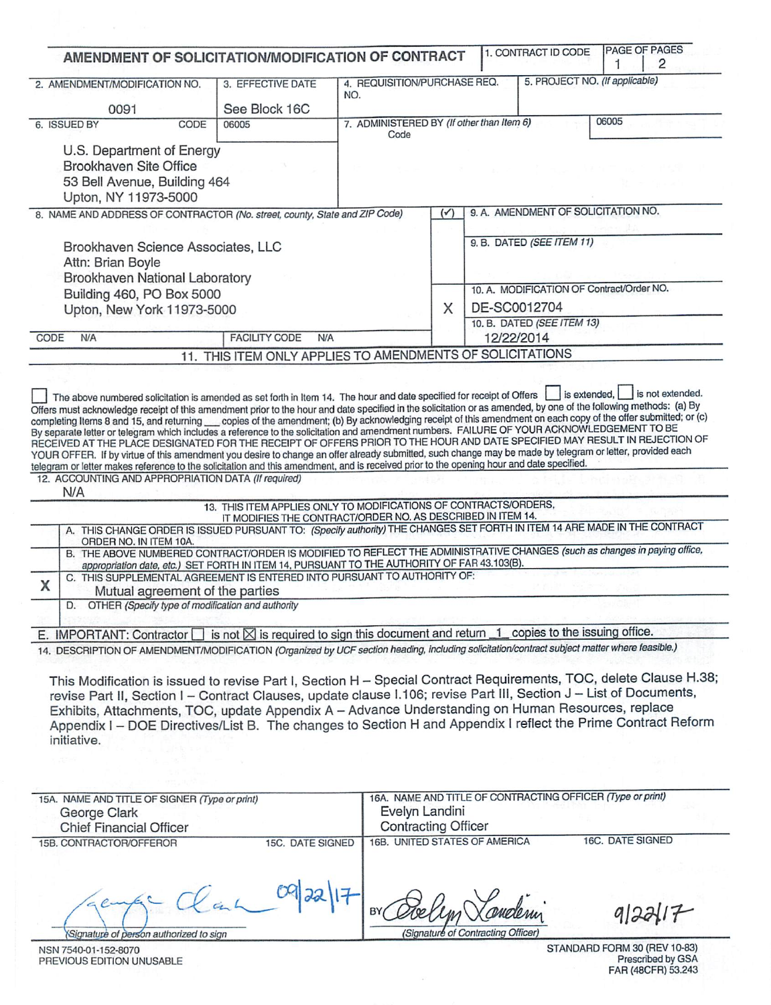|                                            |                                                     |      | AMENDMENT OF SOLICITATION/MODIFICATION OF CONTRACT                                                                                                                                                                                                                                                                                                                                                                                                                                                                                                                                                                                                                                                                                                                                                                                                                                                                                                                                                                                                |                                                   |                            |              | 1. CONTRACT ID CODE                       | 1     | PAGE OF PAGES<br>2 |
|--------------------------------------------|-----------------------------------------------------|------|---------------------------------------------------------------------------------------------------------------------------------------------------------------------------------------------------------------------------------------------------------------------------------------------------------------------------------------------------------------------------------------------------------------------------------------------------------------------------------------------------------------------------------------------------------------------------------------------------------------------------------------------------------------------------------------------------------------------------------------------------------------------------------------------------------------------------------------------------------------------------------------------------------------------------------------------------------------------------------------------------------------------------------------------------|---------------------------------------------------|----------------------------|--------------|-------------------------------------------|-------|--------------------|
|                                            | 2. AMENDMENT/MODIFICATION NO.                       |      | 3. EFFECTIVE DATE                                                                                                                                                                                                                                                                                                                                                                                                                                                                                                                                                                                                                                                                                                                                                                                                                                                                                                                                                                                                                                 | 4. REQUISITION/PURCHASE REQ.                      |                            |              | 5. PROJECT NO. (If applicable)            |       |                    |
|                                            |                                                     |      |                                                                                                                                                                                                                                                                                                                                                                                                                                                                                                                                                                                                                                                                                                                                                                                                                                                                                                                                                                                                                                                   | NO.                                               |                            |              |                                           |       |                    |
|                                            | 0091                                                |      | See Block 16C                                                                                                                                                                                                                                                                                                                                                                                                                                                                                                                                                                                                                                                                                                                                                                                                                                                                                                                                                                                                                                     |                                                   |                            |              |                                           | 06005 |                    |
|                                            | 6. ISSUED BY                                        | CODE | 06005                                                                                                                                                                                                                                                                                                                                                                                                                                                                                                                                                                                                                                                                                                                                                                                                                                                                                                                                                                                                                                             | 7. ADMINISTERED BY (If other than Item 6)<br>Code |                            |              |                                           |       |                    |
|                                            | U.S. Department of Energy                           |      |                                                                                                                                                                                                                                                                                                                                                                                                                                                                                                                                                                                                                                                                                                                                                                                                                                                                                                                                                                                                                                                   |                                                   |                            |              |                                           |       |                    |
|                                            | Brookhaven Site Office                              |      |                                                                                                                                                                                                                                                                                                                                                                                                                                                                                                                                                                                                                                                                                                                                                                                                                                                                                                                                                                                                                                                   |                                                   |                            |              |                                           |       |                    |
|                                            | 53 Bell Avenue, Building 464                        |      |                                                                                                                                                                                                                                                                                                                                                                                                                                                                                                                                                                                                                                                                                                                                                                                                                                                                                                                                                                                                                                                   |                                                   |                            |              |                                           |       |                    |
|                                            | Upton, NY 11973-5000                                |      |                                                                                                                                                                                                                                                                                                                                                                                                                                                                                                                                                                                                                                                                                                                                                                                                                                                                                                                                                                                                                                                   |                                                   |                            |              |                                           |       |                    |
|                                            |                                                     |      | 8. NAME AND ADDRESS OF CONTRACTOR (No. street, county, State and ZIP Code)                                                                                                                                                                                                                                                                                                                                                                                                                                                                                                                                                                                                                                                                                                                                                                                                                                                                                                                                                                        |                                                   | $(\checkmark)$             |              | 9. A. AMENDMENT OF SOLICITATION NO.       |       |                    |
|                                            |                                                     |      |                                                                                                                                                                                                                                                                                                                                                                                                                                                                                                                                                                                                                                                                                                                                                                                                                                                                                                                                                                                                                                                   |                                                   |                            |              |                                           |       |                    |
|                                            | Brookhaven Science Associates, LLC                  |      |                                                                                                                                                                                                                                                                                                                                                                                                                                                                                                                                                                                                                                                                                                                                                                                                                                                                                                                                                                                                                                                   |                                                   |                            |              | 9. B. DATED (SEE ITEM 11)                 |       |                    |
|                                            | Attn: Brian Boyle                                   |      |                                                                                                                                                                                                                                                                                                                                                                                                                                                                                                                                                                                                                                                                                                                                                                                                                                                                                                                                                                                                                                                   |                                                   |                            |              |                                           |       |                    |
|                                            | Brookhaven National Laboratory                      |      |                                                                                                                                                                                                                                                                                                                                                                                                                                                                                                                                                                                                                                                                                                                                                                                                                                                                                                                                                                                                                                                   |                                                   |                            |              |                                           |       |                    |
|                                            | Building 460, PO Box 5000                           |      |                                                                                                                                                                                                                                                                                                                                                                                                                                                                                                                                                                                                                                                                                                                                                                                                                                                                                                                                                                                                                                                   |                                                   |                            |              | 10. A. MODIFICATION OF Contract/Order NO. |       |                    |
|                                            | Upton, New York 11973-5000                          |      |                                                                                                                                                                                                                                                                                                                                                                                                                                                                                                                                                                                                                                                                                                                                                                                                                                                                                                                                                                                                                                                   |                                                   | X                          | DE-SC0012704 |                                           |       |                    |
|                                            |                                                     |      |                                                                                                                                                                                                                                                                                                                                                                                                                                                                                                                                                                                                                                                                                                                                                                                                                                                                                                                                                                                                                                                   |                                                   | 10. B. DATED (SEE ITEM 13) |              |                                           |       |                    |
| <b>FACILITY CODE</b><br>CODE<br>N/A<br>N/A |                                                     |      |                                                                                                                                                                                                                                                                                                                                                                                                                                                                                                                                                                                                                                                                                                                                                                                                                                                                                                                                                                                                                                                   |                                                   | 12/22/2014                 |              |                                           |       |                    |
|                                            |                                                     |      |                                                                                                                                                                                                                                                                                                                                                                                                                                                                                                                                                                                                                                                                                                                                                                                                                                                                                                                                                                                                                                                   |                                                   |                            |              |                                           |       |                    |
|                                            |                                                     | 11.  | THIS ITEM ONLY APPLIES TO AMENDMENTS OF SOLICITATIONS                                                                                                                                                                                                                                                                                                                                                                                                                                                                                                                                                                                                                                                                                                                                                                                                                                                                                                                                                                                             |                                                   |                            |              | is extended,                              |       | is not extended.   |
|                                            | 12. ACCOUNTING AND APPROPRIATION DATA (If required) |      | The above numbered solicitation is amended as set forth in Item 14. The hour and date specified for receipt of Offers<br>Offers must acknowledge receipt of this amendment prior to the hour and date specified in the solicitation or as amended, by one of the following methods: (a) By<br>completing Items 8 and 15, and returning __ copies of the amendment; (b) By acknowledging receipt of this amendment on each copy of the offer submitted; or (c)<br>By separate letter or telegram which includes a reference to the solicitation and amendment numbers. FAILURE OF YOUR ACKNOWLEDGEMENT TO BE<br>RECEIVED AT THE PLACE DESIGNATED FOR THE RECEIPT OF OFFERS PRIOR TO THE HOUR AND DATE SPECIFIED MAY RESULT IN REJECTION OF<br>YOUR OFFER. If by virtue of this amendment you desire to change an offer already submitted, such change may be made by telegram or letter, provided each<br>telegram or letter makes reference to the solicitation and this amendment, and is received prior to the opening hour and date specified. |                                                   |                            |              |                                           |       |                    |
|                                            | N/A                                                 |      |                                                                                                                                                                                                                                                                                                                                                                                                                                                                                                                                                                                                                                                                                                                                                                                                                                                                                                                                                                                                                                                   |                                                   |                            |              |                                           |       |                    |
|                                            |                                                     |      | 13. THIS ITEM APPLIES ONLY TO MODIFICATIONS OF CONTRACTS/ORDERS,<br>IT MODIFIES THE CONTRACT/ORDER NO. AS DESCRIBED IN ITEM 14.                                                                                                                                                                                                                                                                                                                                                                                                                                                                                                                                                                                                                                                                                                                                                                                                                                                                                                                   |                                                   |                            |              |                                           |       |                    |
|                                            | ORDER NO. IN ITEM 10A.                              |      | A. THIS CHANGE ORDER IS ISSUED PURSUANT TO: (Specify authority) THE CHANGES SET FORTH IN ITEM 14 ARE MADE IN THE CONTRACT                                                                                                                                                                                                                                                                                                                                                                                                                                                                                                                                                                                                                                                                                                                                                                                                                                                                                                                         |                                                   |                            |              |                                           |       |                    |
|                                            |                                                     |      | B. THE ABOVE NUMBERED CONTRACT/ORDER IS MODIFIED TO REFLECT THE ADMINISTRATIVE CHANGES (such as changes in paying office,                                                                                                                                                                                                                                                                                                                                                                                                                                                                                                                                                                                                                                                                                                                                                                                                                                                                                                                         |                                                   |                            |              |                                           |       |                    |
|                                            |                                                     |      | appropriation date, etc.) SET FORTH IN ITEM 14, PURSUANT TO THE AUTHORITY OF FAR 43.103(B).                                                                                                                                                                                                                                                                                                                                                                                                                                                                                                                                                                                                                                                                                                                                                                                                                                                                                                                                                       |                                                   |                            |              |                                           |       |                    |
|                                            |                                                     |      | C. THIS SUPPLEMENTAL AGREEMENT IS ENTERED INTO PURSUANT TO AUTHORITY OF:                                                                                                                                                                                                                                                                                                                                                                                                                                                                                                                                                                                                                                                                                                                                                                                                                                                                                                                                                                          |                                                   |                            |              |                                           |       |                    |
| X                                          | Mutual agreement of the parties<br>D.               |      | OTHER (Specify type of modification and authority                                                                                                                                                                                                                                                                                                                                                                                                                                                                                                                                                                                                                                                                                                                                                                                                                                                                                                                                                                                                 |                                                   |                            |              |                                           |       |                    |
|                                            |                                                     |      |                                                                                                                                                                                                                                                                                                                                                                                                                                                                                                                                                                                                                                                                                                                                                                                                                                                                                                                                                                                                                                                   |                                                   |                            |              |                                           |       |                    |
|                                            | E. IMPORTANT: Contractor                            |      | is not $\boxtimes$ is required to sign this document and return $1$ copies to the issuing office.                                                                                                                                                                                                                                                                                                                                                                                                                                                                                                                                                                                                                                                                                                                                                                                                                                                                                                                                                 |                                                   |                            |              |                                           |       |                    |
|                                            |                                                     |      | 14. DESCRIPTION OF AMENDMENT/MODIFICATION (Organized by UCF section heading, including solicitation/contract subject matter where feasible.)                                                                                                                                                                                                                                                                                                                                                                                                                                                                                                                                                                                                                                                                                                                                                                                                                                                                                                      |                                                   |                            |              |                                           |       |                    |
|                                            |                                                     |      | This Modification is issued to revise Part I, Section H - Special Contract Requirements, TOC, delete Clause H.38;                                                                                                                                                                                                                                                                                                                                                                                                                                                                                                                                                                                                                                                                                                                                                                                                                                                                                                                                 |                                                   |                            |              |                                           |       |                    |

revise Part II, Section I – Contract Clauses, update clause I.106; revise Part III, Section J – List of Documents,<br>Exhibits, Attachments, TOC, update Appendix A – Advance Understanding on Human Resources, replace<br>Appendix initiative.

| 15A. NAME AND TITLE OF SIGNER (Type or print)<br>George Clark<br><b>Chief Financial Officer</b> |                  | 16A. NAME AND TITLE OF CONTRACTING OFFICER (Type or print)<br>Evelyn Landini<br><b>Contracting Officer</b> |                  |  |
|-------------------------------------------------------------------------------------------------|------------------|------------------------------------------------------------------------------------------------------------|------------------|--|
| 15B. CONTRACTOR/OFFEROR                                                                         | 15C. DATE SIGNED | 16B. UNITED STATES OF AMERICA                                                                              | 16C. DATE SIGNED |  |
| Signature of person authorized to sign                                                          |                  | BY<br>(Signature of Contracting Officer)                                                                   |                  |  |

NSN 7540-01-152-8070 PREVIOUS EDITION UNUSABLE STANDARD FORM 30 (REV 10-83)<br>Prescribed by GSA<br>FAR (48CFR) 53.243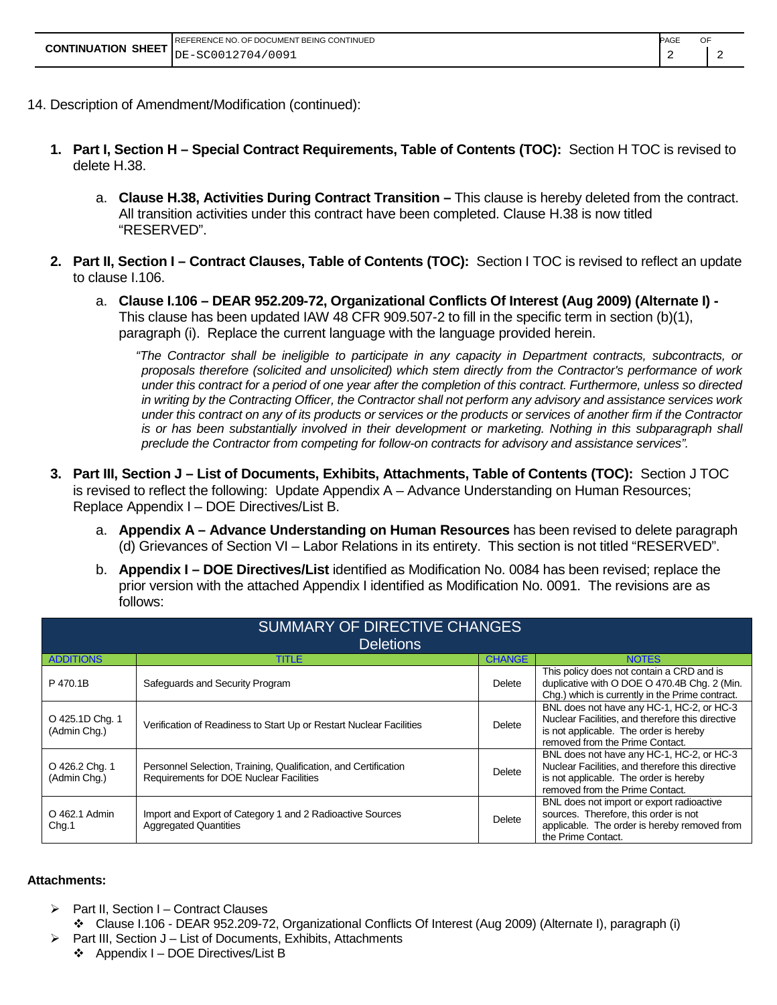|                             | PAGE<br>REFERENCE NO. OF DOCUMENT BEING CONTINUED |  |  |
|-----------------------------|---------------------------------------------------|--|--|
| <b>CONTINUATION SHEET  </b> | DE-SC0012704/0091                                 |  |  |

- 14. Description of Amendment/Modification (continued):
	- **1. Part I, Section H – Special Contract Requirements, Table of Contents (TOC):** Section H TOC is revised to delete H.38.
		- a. **Clause H.38, Activities During Contract Transition –** This clause is hereby deleted from the contract. All transition activities under this contract have been completed. Clause H.38 is now titled "RESERVED".
	- **2. Part II, Section I – Contract Clauses, Table of Contents (TOC):** Section I TOC is revised to reflect an update to clause I.106.
		- a. **Clause I.106 – DEAR 952.209-72, Organizational Conflicts Of Interest (Aug 2009) (Alternate I) -** This clause has been updated IAW 48 CFR 909.507-2 to fill in the specific term in section (b)(1), paragraph (i). Replace the current language with the language provided herein.

*"The Contractor shall be ineligible to participate in any capacity in Department contracts, subcontracts, or proposals therefore (solicited and unsolicited) which stem directly from the Contractor's performance of work under this contract for a period of one year after the completion of this contract. Furthermore, unless so directed in writing by the Contracting Officer, the Contractor shall not perform any advisory and assistance services work under this contract on any of its products or services or the products or services of another firm if the Contractor is or has been substantially involved in their development or marketing. Nothing in this subparagraph shall preclude the Contractor from competing for follow-on contracts for advisory and assistance services".* 

- **3. Part III, Section J – List of Documents, Exhibits, Attachments, Table of Contents (TOC):** Section J TOC is revised to reflect the following: Update Appendix A – Advance Understanding on Human Resources; Replace Appendix I – DOE Directives/List B.
	- a. **Appendix A – Advance Understanding on Human Resources** has been revised to delete paragraph (d) Grievances of Section VI – Labor Relations in its entirety. This section is not titled "RESERVED".
	- b. **Appendix I – DOE Directives/List** identified as Modification No. 0084 has been revised; replace the prior version with the attached Appendix I identified as Modification No. 0091. The revisions are as follows:

| SUMMARY OF DIRECTIVE CHANGES    |                                                                                                            |               |                                                                                                                                                                            |  |  |  |  |  |
|---------------------------------|------------------------------------------------------------------------------------------------------------|---------------|----------------------------------------------------------------------------------------------------------------------------------------------------------------------------|--|--|--|--|--|
|                                 | <b>Deletions</b>                                                                                           |               |                                                                                                                                                                            |  |  |  |  |  |
| <b>ADDITIONS</b>                | <b>TITLE</b>                                                                                               | <b>CHANGE</b> | <b>NOTES</b>                                                                                                                                                               |  |  |  |  |  |
| P 470.1B                        | Safeguards and Security Program                                                                            | Delete        | This policy does not contain a CRD and is<br>duplicative with O DOE O 470.4B Chq. 2 (Min.<br>Chg.) which is currently in the Prime contract.                               |  |  |  |  |  |
| O 425.1D Chg. 1<br>(Admin Chg.) | Verification of Readiness to Start Up or Restart Nuclear Facilities                                        | Delete        | BNL does not have any HC-1, HC-2, or HC-3<br>Nuclear Facilities, and therefore this directive<br>is not applicable. The order is hereby<br>removed from the Prime Contact. |  |  |  |  |  |
| O 426.2 Chg. 1<br>(Admin Chg.)  | Personnel Selection, Training, Qualification, and Certification<br>Requirements for DOE Nuclear Facilities | Delete        | BNL does not have any HC-1, HC-2, or HC-3<br>Nuclear Facilities, and therefore this directive<br>is not applicable. The order is hereby<br>removed from the Prime Contact. |  |  |  |  |  |
| O 462.1 Admin<br>Chg.1          | Import and Export of Category 1 and 2 Radioactive Sources<br><b>Aggregated Quantities</b>                  | Delete        | BNL does not import or export radioactive<br>sources. Therefore, this order is not<br>applicable. The order is hereby removed from<br>the Prime Contact.                   |  |  |  |  |  |

#### **Attachments:**

- Part II, Section I Contract Clauses
	- Clause I.106 DEAR 952.209-72, Organizational Conflicts Of Interest (Aug 2009) (Alternate I), paragraph (i)
- $\triangleright$  Part III, Section J List of Documents, Exhibits, Attachments
	- $\div$  Appendix I DOE Directives/List B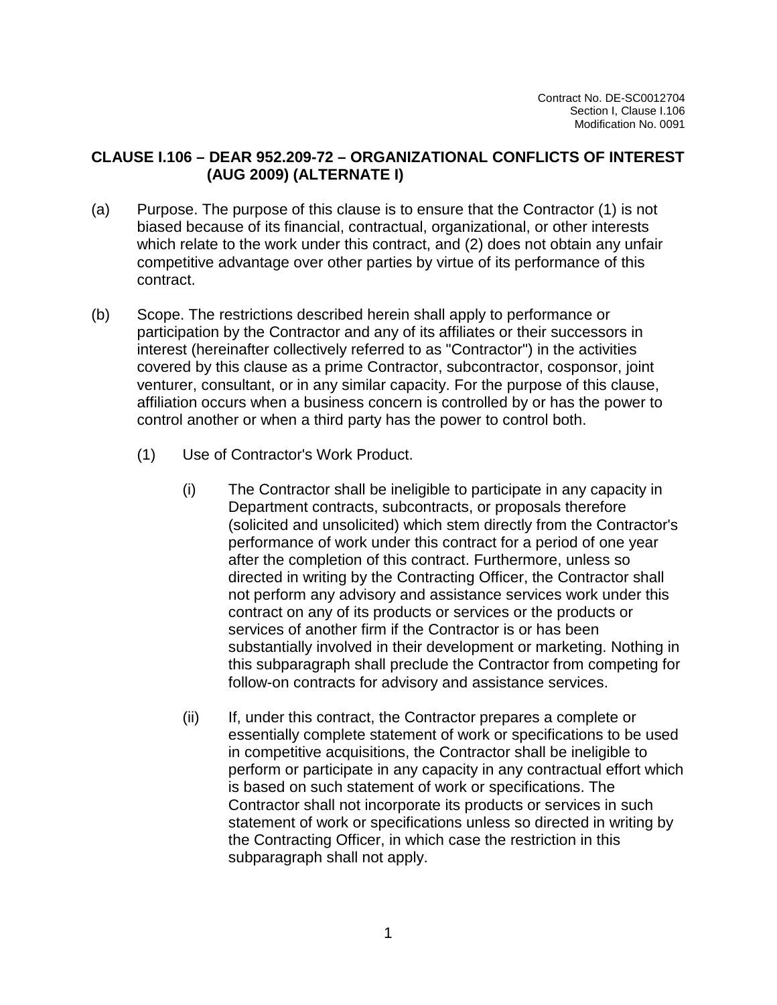#### **CLAUSE I.106 – DEAR 952.209-72 – ORGANIZATIONAL CONFLICTS OF INTEREST (AUG 2009) (ALTERNATE I)**

- (a) Purpose. The purpose of this clause is to ensure that the Contractor (1) is not biased because of its financial, contractual, organizational, or other interests which relate to the work under this contract, and (2) does not obtain any unfair competitive advantage over other parties by virtue of its performance of this contract.
- (b) Scope. The restrictions described herein shall apply to performance or participation by the Contractor and any of its affiliates or their successors in interest (hereinafter collectively referred to as "Contractor") in the activities covered by this clause as a prime Contractor, subcontractor, cosponsor, joint venturer, consultant, or in any similar capacity. For the purpose of this clause, affiliation occurs when a business concern is controlled by or has the power to control another or when a third party has the power to control both.
	- (1) Use of Contractor's Work Product.
		- (i) The Contractor shall be ineligible to participate in any capacity in Department contracts, subcontracts, or proposals therefore (solicited and unsolicited) which stem directly from the Contractor's performance of work under this contract for a period of one year after the completion of this contract. Furthermore, unless so directed in writing by the Contracting Officer, the Contractor shall not perform any advisory and assistance services work under this contract on any of its products or services or the products or services of another firm if the Contractor is or has been substantially involved in their development or marketing. Nothing in this subparagraph shall preclude the Contractor from competing for follow-on contracts for advisory and assistance services.
		- (ii) If, under this contract, the Contractor prepares a complete or essentially complete statement of work or specifications to be used in competitive acquisitions, the Contractor shall be ineligible to perform or participate in any capacity in any contractual effort which is based on such statement of work or specifications. The Contractor shall not incorporate its products or services in such statement of work or specifications unless so directed in writing by the Contracting Officer, in which case the restriction in this subparagraph shall not apply.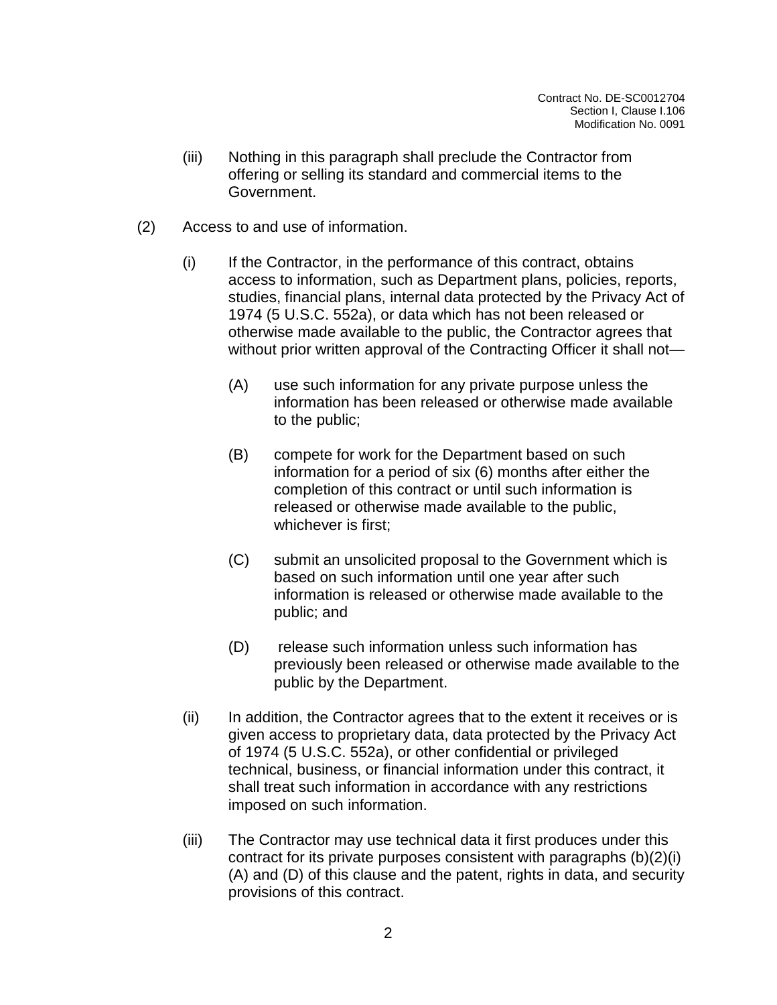- (iii) Nothing in this paragraph shall preclude the Contractor from offering or selling its standard and commercial items to the Government.
- (2) Access to and use of information.
	- (i) If the Contractor, in the performance of this contract, obtains access to information, such as Department plans, policies, reports, studies, financial plans, internal data protected by the Privacy Act of 1974 (5 U.S.C. 552a), or data which has not been released or otherwise made available to the public, the Contractor agrees that without prior written approval of the Contracting Officer it shall not—
		- (A) use such information for any private purpose unless the information has been released or otherwise made available to the public;
		- (B) compete for work for the Department based on such information for a period of six (6) months after either the completion of this contract or until such information is released or otherwise made available to the public, whichever is first;
		- (C) submit an unsolicited proposal to the Government which is based on such information until one year after such information is released or otherwise made available to the public; and
		- (D) release such information unless such information has previously been released or otherwise made available to the public by the Department.
	- (ii) In addition, the Contractor agrees that to the extent it receives or is given access to proprietary data, data protected by the Privacy Act of 1974 (5 U.S.C. 552a), or other confidential or privileged technical, business, or financial information under this contract, it shall treat such information in accordance with any restrictions imposed on such information.
	- (iii) The Contractor may use technical data it first produces under this contract for its private purposes consistent with paragraphs (b)(2)(i) (A) and (D) of this clause and the patent, rights in data, and security provisions of this contract.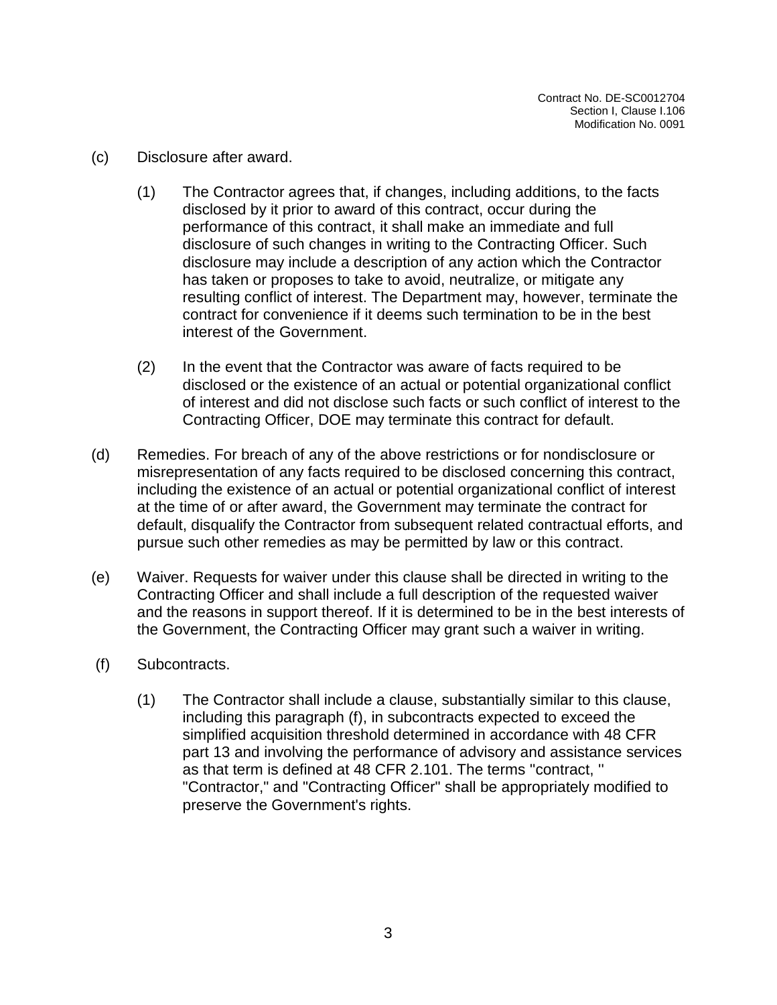- (c) Disclosure after award.
	- (1) The Contractor agrees that, if changes, including additions, to the facts disclosed by it prior to award of this contract, occur during the performance of this contract, it shall make an immediate and full disclosure of such changes in writing to the Contracting Officer. Such disclosure may include a description of any action which the Contractor has taken or proposes to take to avoid, neutralize, or mitigate any resulting conflict of interest. The Department may, however, terminate the contract for convenience if it deems such termination to be in the best interest of the Government.
	- (2) In the event that the Contractor was aware of facts required to be disclosed or the existence of an actual or potential organizational conflict of interest and did not disclose such facts or such conflict of interest to the Contracting Officer, DOE may terminate this contract for default.
- (d) Remedies. For breach of any of the above restrictions or for nondisclosure or misrepresentation of any facts required to be disclosed concerning this contract, including the existence of an actual or potential organizational conflict of interest at the time of or after award, the Government may terminate the contract for default, disqualify the Contractor from subsequent related contractual efforts, and pursue such other remedies as may be permitted by law or this contract.
- (e) Waiver. Requests for waiver under this clause shall be directed in writing to the Contracting Officer and shall include a full description of the requested waiver and the reasons in support thereof. If it is determined to be in the best interests of the Government, the Contracting Officer may grant such a waiver in writing.
- (f) Subcontracts.
	- (1) The Contractor shall include a clause, substantially similar to this clause, including this paragraph (f), in subcontracts expected to exceed the simplified acquisition threshold determined in accordance with 48 CFR part 13 and involving the performance of advisory and assistance services as that term is defined at 48 CFR 2.101. The terms ''contract, '' "Contractor," and "Contracting Officer" shall be appropriately modified to preserve the Government's rights.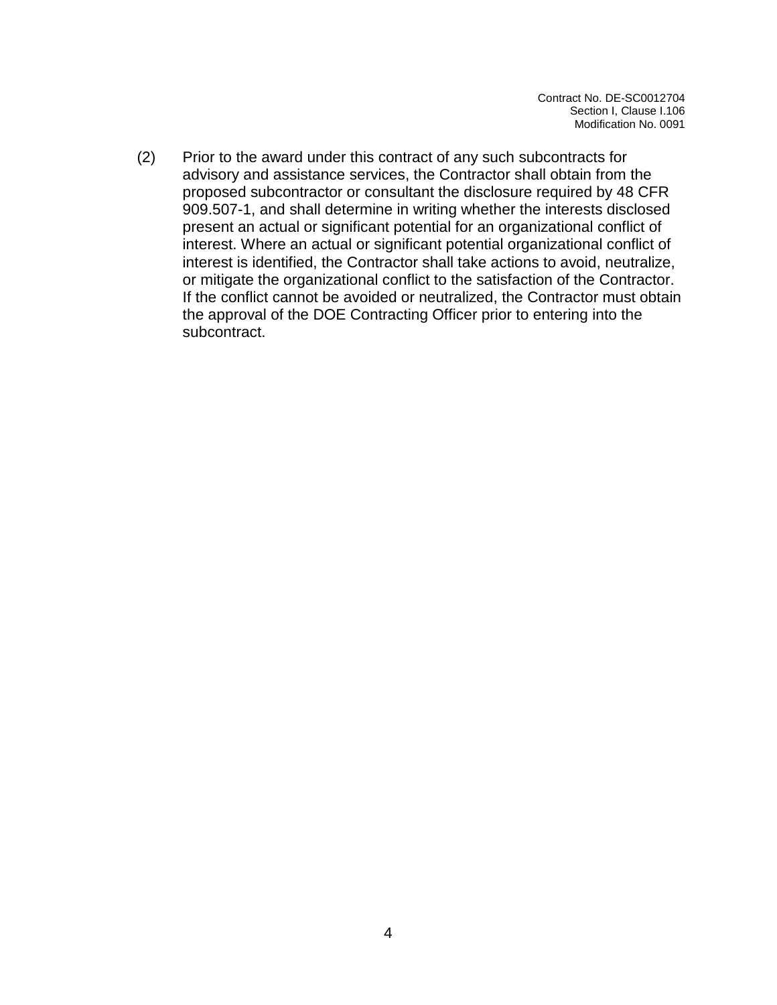(2) Prior to the award under this contract of any such subcontracts for advisory and assistance services, the Contractor shall obtain from the proposed subcontractor or consultant the disclosure required by 48 CFR 909.507-1, and shall determine in writing whether the interests disclosed present an actual or significant potential for an organizational conflict of interest. Where an actual or significant potential organizational conflict of interest is identified, the Contractor shall take actions to avoid, neutralize, or mitigate the organizational conflict to the satisfaction of the Contractor. If the conflict cannot be avoided or neutralized, the Contractor must obtain the approval of the DOE Contracting Officer prior to entering into the subcontract.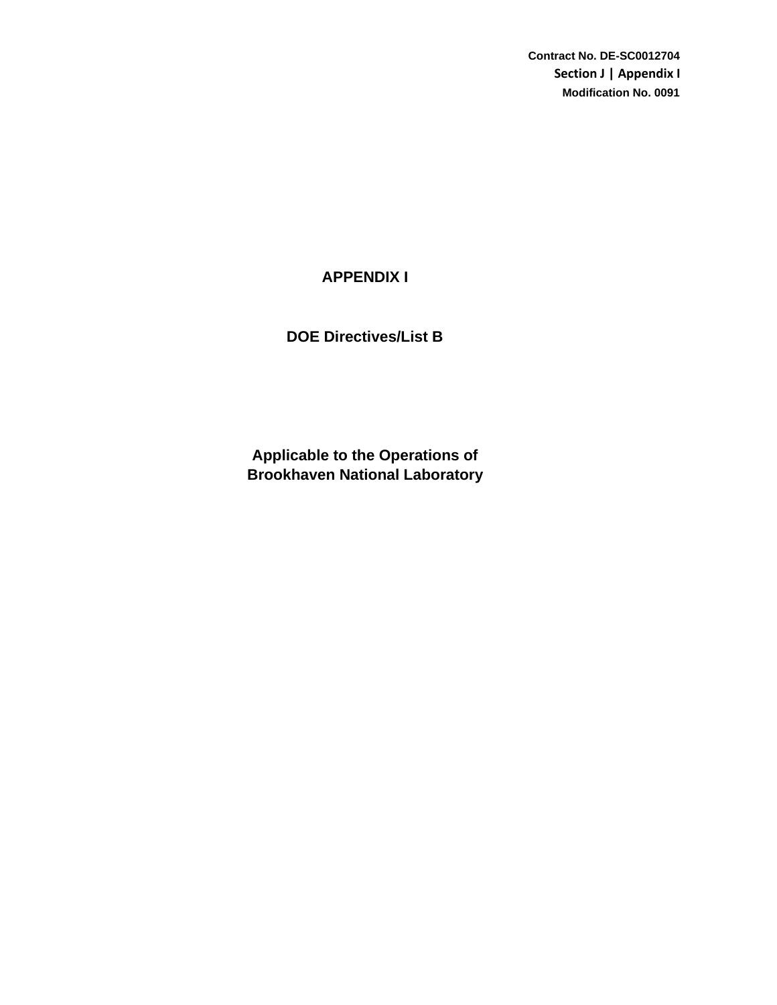**Contract No. DE-SC0012704 Section J | Appendix I Modification No. 0091**

# **APPENDIX I**

**DOE Directives/List B**

**Brookhaven National Laboratory Applicable to the Operations of**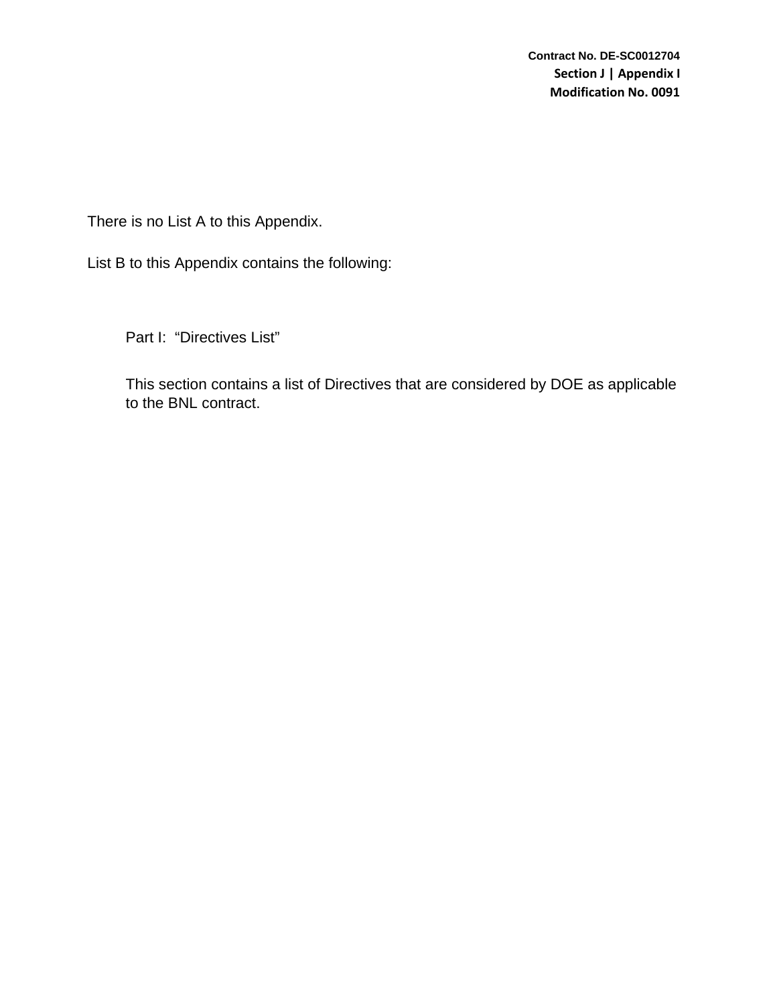There is no List A to this Appendix.

List B to this Appendix contains the following:

Part I: "Directives List"

This section contains a list of Directives that are considered by DOE as applicable to the BNL contract.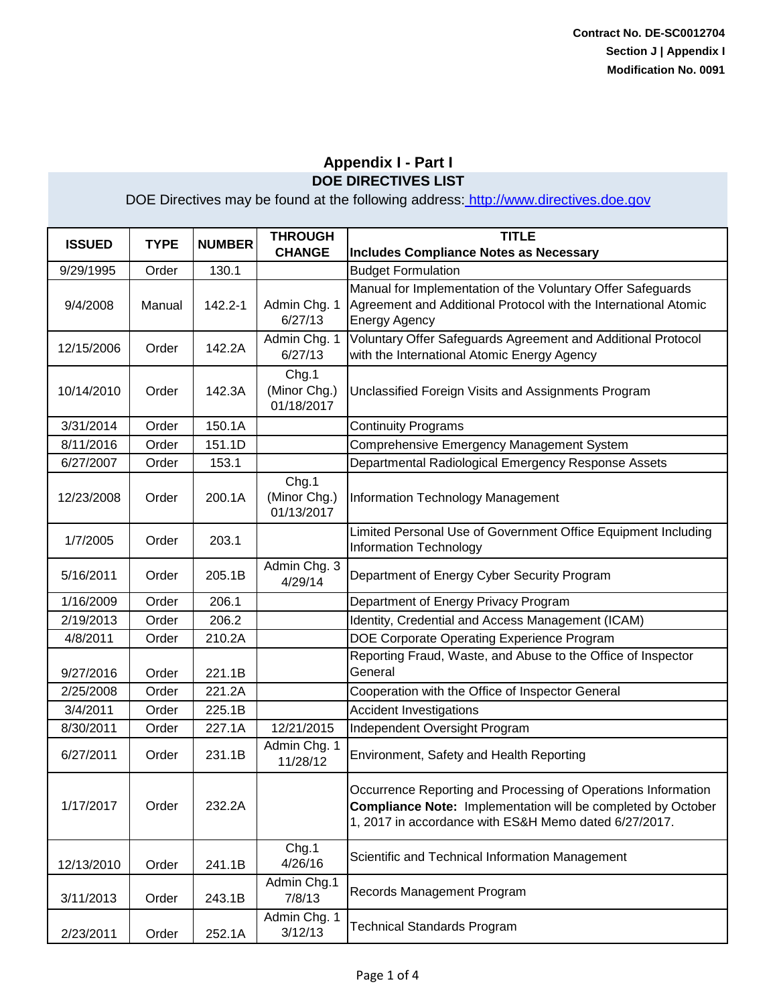| <b>ISSUED</b> | <b>TYPE</b> | <b>NUMBER</b> | <b>THROUGH</b><br><b>CHANGE</b>     | <b>TITLE</b><br><b>Includes Compliance Notes as Necessary</b>                                                                                                                                 |
|---------------|-------------|---------------|-------------------------------------|-----------------------------------------------------------------------------------------------------------------------------------------------------------------------------------------------|
| 9/29/1995     | Order       | 130.1         |                                     | <b>Budget Formulation</b>                                                                                                                                                                     |
| 9/4/2008      | Manual      | 142.2-1       | Admin Chg. 1<br>6/27/13             | Manual for Implementation of the Voluntary Offer Safeguards<br>Agreement and Additional Protocol with the International Atomic<br><b>Energy Agency</b>                                        |
| 12/15/2006    | Order       | 142.2A        | Admin Chg. 1<br>6/27/13             | Voluntary Offer Safeguards Agreement and Additional Protocol<br>with the International Atomic Energy Agency                                                                                   |
| 10/14/2010    | Order       | 142.3A        | Chg.1<br>(Minor Chg.)<br>01/18/2017 | Unclassified Foreign Visits and Assignments Program                                                                                                                                           |
| 3/31/2014     | Order       | 150.1A        |                                     | <b>Continuity Programs</b>                                                                                                                                                                    |
| 8/11/2016     | Order       | 151.1D        |                                     | Comprehensive Emergency Management System                                                                                                                                                     |
| 6/27/2007     | Order       | 153.1         |                                     | Departmental Radiological Emergency Response Assets                                                                                                                                           |
| 12/23/2008    | Order       | 200.1A        | Chg.1<br>(Minor Chg.)<br>01/13/2017 | Information Technology Management                                                                                                                                                             |
| 1/7/2005      | Order       | 203.1         |                                     | Limited Personal Use of Government Office Equipment Including<br><b>Information Technology</b>                                                                                                |
| 5/16/2011     | Order       | 205.1B        | Admin Chg. 3<br>4/29/14             | Department of Energy Cyber Security Program                                                                                                                                                   |
| 1/16/2009     | Order       | 206.1         |                                     | Department of Energy Privacy Program                                                                                                                                                          |
| 2/19/2013     | Order       | 206.2         |                                     | Identity, Credential and Access Management (ICAM)                                                                                                                                             |
| 4/8/2011      | Order       | 210.2A        |                                     | DOE Corporate Operating Experience Program                                                                                                                                                    |
| 9/27/2016     | Order       | 221.1B        |                                     | Reporting Fraud, Waste, and Abuse to the Office of Inspector<br>General                                                                                                                       |
| 2/25/2008     | Order       | 221.2A        |                                     | Cooperation with the Office of Inspector General                                                                                                                                              |
| 3/4/2011      | Order       | 225.1B        |                                     | <b>Accident Investigations</b>                                                                                                                                                                |
| 8/30/2011     | Order       | 227.1A        | 12/21/2015                          | Independent Oversight Program                                                                                                                                                                 |
| 6/27/2011     | Order       | 231.1B        | Admin Chg. 1<br>11/28/12            | Environment, Safety and Health Reporting                                                                                                                                                      |
| 1/17/2017     | Order       | 232.2A        |                                     | Occurrence Reporting and Processing of Operations Information<br><b>Compliance Note: Implementation will be completed by October</b><br>1, 2017 in accordance with ES&H Memo dated 6/27/2017. |
| 12/13/2010    | Order       | 241.1B        | Chg.1<br>4/26/16                    | Scientific and Technical Information Management                                                                                                                                               |
| 3/11/2013     | Order       | 243.1B        | Admin Chg.1<br>7/8/13               | Records Management Program                                                                                                                                                                    |
| 2/23/2011     | Order       | 252.1A        | Admin Chg. 1<br>3/12/13             | <b>Technical Standards Program</b>                                                                                                                                                            |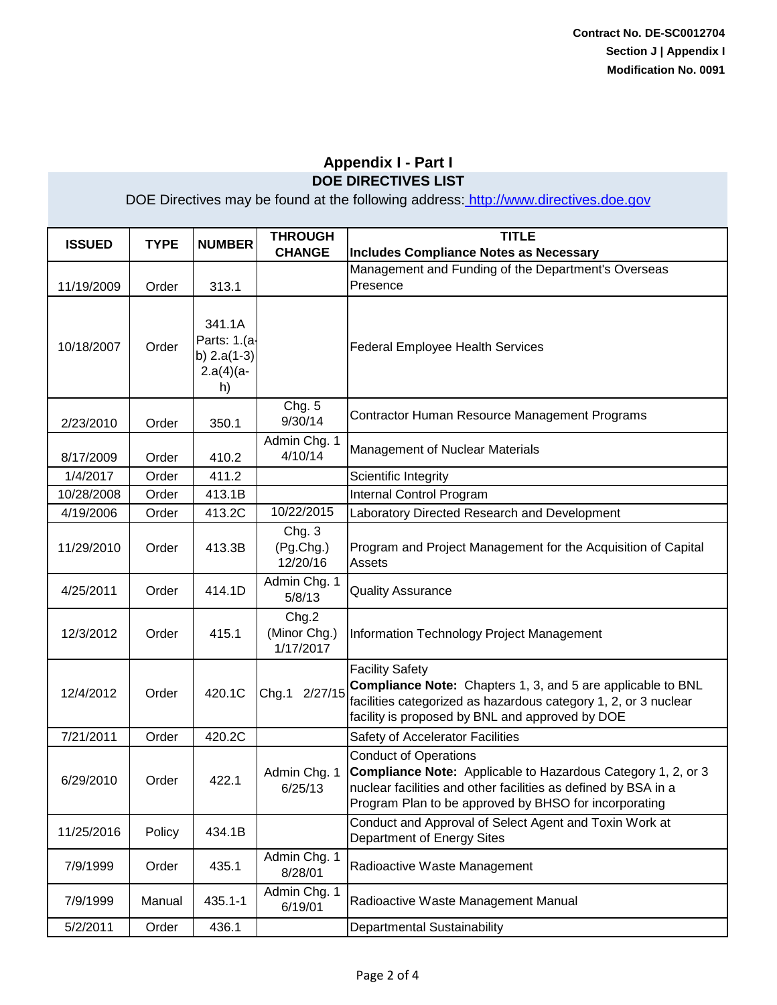| <b>ISSUED</b> | <b>TYPE</b> | <b>NUMBER</b>                                                | <b>THROUGH</b><br><b>CHANGE</b>    | <b>TITLE</b><br><b>Includes Compliance Notes as Necessary</b>                                                                                                                                                           |
|---------------|-------------|--------------------------------------------------------------|------------------------------------|-------------------------------------------------------------------------------------------------------------------------------------------------------------------------------------------------------------------------|
| 11/19/2009    | Order       | 313.1                                                        |                                    | Management and Funding of the Department's Overseas<br>Presence                                                                                                                                                         |
| 10/18/2007    | Order       | 341.1A<br>Parts: 1.(a-<br>b) $2.a(1-3)$<br>$2.a(4)(a-$<br>h) |                                    | <b>Federal Employee Health Services</b>                                                                                                                                                                                 |
| 2/23/2010     | Order       | 350.1                                                        | Chg. 5<br>9/30/14                  | Contractor Human Resource Management Programs                                                                                                                                                                           |
| 8/17/2009     | Order       | 410.2                                                        | Admin Chg. 1<br>4/10/14            | Management of Nuclear Materials                                                                                                                                                                                         |
| 1/4/2017      | Order       | 411.2                                                        |                                    | Scientific Integrity                                                                                                                                                                                                    |
| 10/28/2008    | Order       | 413.1B                                                       |                                    | Internal Control Program                                                                                                                                                                                                |
| 4/19/2006     | Order       | 413.2C                                                       | 10/22/2015                         | Laboratory Directed Research and Development                                                                                                                                                                            |
| 11/29/2010    | Order       | 413.3B                                                       | Chg.3<br>(Pg.Chg.)<br>12/20/16     | Program and Project Management for the Acquisition of Capital<br>Assets                                                                                                                                                 |
| 4/25/2011     | Order       | 414.1D                                                       | Admin Chg. 1<br>5/8/13             | <b>Quality Assurance</b>                                                                                                                                                                                                |
| 12/3/2012     | Order       | 415.1                                                        | Chg.2<br>(Minor Chg.)<br>1/17/2017 | <b>Information Technology Project Management</b>                                                                                                                                                                        |
| 12/4/2012     | Order       | 420.1C                                                       | 2/27/15<br>Chg.1                   | <b>Facility Safety</b><br><b>Compliance Note:</b> Chapters 1, 3, and 5 are applicable to BNL<br>facilities categorized as hazardous category 1, 2, or 3 nuclear<br>facility is proposed by BNL and approved by DOE      |
| 7/21/2011     | Order       | 420.2C                                                       |                                    | Safety of Accelerator Facilities                                                                                                                                                                                        |
| 6/29/2010     | Order       | 422.1                                                        | Admin Chg. 1<br>6/25/13            | <b>Conduct of Operations</b><br>Compliance Note: Applicable to Hazardous Category 1, 2, or 3<br>nuclear facilities and other facilities as defined by BSA in a<br>Program Plan to be approved by BHSO for incorporating |
| 11/25/2016    | Policy      | 434.1B                                                       |                                    | Conduct and Approval of Select Agent and Toxin Work at<br>Department of Energy Sites                                                                                                                                    |
| 7/9/1999      | Order       | 435.1                                                        | Admin Chg. 1<br>8/28/01            | Radioactive Waste Management                                                                                                                                                                                            |
| 7/9/1999      | Manual      | $435.1 - 1$                                                  | Admin Chg. 1<br>6/19/01            | Radioactive Waste Management Manual                                                                                                                                                                                     |
| 5/2/2011      | Order       | 436.1                                                        |                                    | <b>Departmental Sustainability</b>                                                                                                                                                                                      |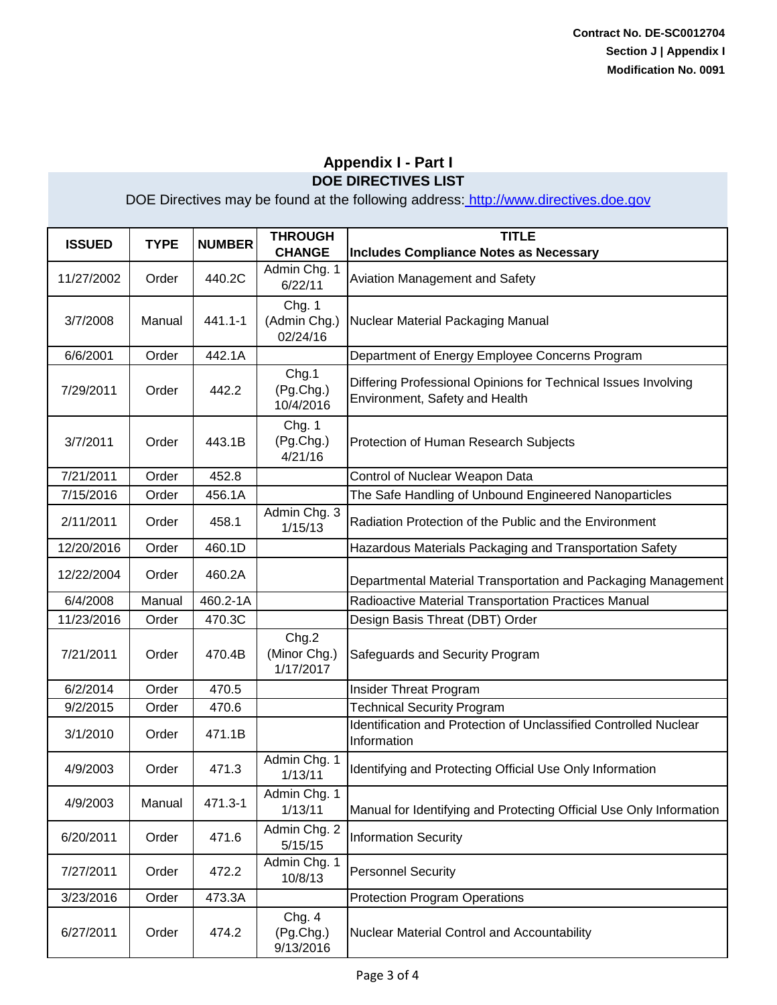| <b>ISSUED</b> | <b>TYPE</b> | <b>NUMBER</b> | <b>THROUGH</b><br><b>CHANGE</b>    | <b>TITLE</b><br><b>Includes Compliance Notes as Necessary</b>                                    |
|---------------|-------------|---------------|------------------------------------|--------------------------------------------------------------------------------------------------|
| 11/27/2002    | Order       | 440.2C        | Admin Chg. 1<br>6/22/11            | Aviation Management and Safety                                                                   |
| 3/7/2008      | Manual      | 441.1-1       | Chg. 1<br>(Admin Chg.)<br>02/24/16 | Nuclear Material Packaging Manual                                                                |
| 6/6/2001      | Order       | 442.1A        |                                    | Department of Energy Employee Concerns Program                                                   |
| 7/29/2011     | Order       | 442.2         | Chg.1<br>(Pg.Chg.)<br>10/4/2016    | Differing Professional Opinions for Technical Issues Involving<br>Environment, Safety and Health |
| 3/7/2011      | Order       | 443.1B        | Chg. 1<br>(Pg.Chg.)<br>4/21/16     | Protection of Human Research Subjects                                                            |
| 7/21/2011     | Order       | 452.8         |                                    | Control of Nuclear Weapon Data                                                                   |
| 7/15/2016     | Order       | 456.1A        |                                    | The Safe Handling of Unbound Engineered Nanoparticles                                            |
| 2/11/2011     | Order       | 458.1         | Admin Chg. 3<br>1/15/13            | Radiation Protection of the Public and the Environment                                           |
| 12/20/2016    | Order       | 460.1D        |                                    | Hazardous Materials Packaging and Transportation Safety                                          |
| 12/22/2004    | Order       | 460.2A        |                                    | Departmental Material Transportation and Packaging Management                                    |
| 6/4/2008      | Manual      | 460.2-1A      |                                    | Radioactive Material Transportation Practices Manual                                             |
| 11/23/2016    | Order       | 470.3C        |                                    | Design Basis Threat (DBT) Order                                                                  |
| 7/21/2011     | Order       | 470.4B        | Chg.2<br>(Minor Chg.)<br>1/17/2017 | Safeguards and Security Program                                                                  |
| 6/2/2014      | Order       | 470.5         |                                    | Insider Threat Program                                                                           |
| 9/2/2015      | Order       | 470.6         |                                    | <b>Technical Security Program</b>                                                                |
| 3/1/2010      | Order       | 471.1B        |                                    | Identification and Protection of Unclassified Controlled Nuclear<br>Information                  |
| 4/9/2003      | Order       | 471.3         | Admin Chg. 1<br>1/13/11            | Identifying and Protecting Official Use Only Information                                         |
| 4/9/2003      | Manual      | 471.3-1       | Admin Chg. 1<br>1/13/11            | Manual for Identifying and Protecting Official Use Only Information                              |
| 6/20/2011     | Order       | 471.6         | Admin Chg. 2<br>5/15/15            | <b>Information Security</b>                                                                      |
| 7/27/2011     | Order       | 472.2         | Admin Chg. 1<br>10/8/13            | <b>Personnel Security</b>                                                                        |
| 3/23/2016     | Order       | 473.3A        |                                    | <b>Protection Program Operations</b>                                                             |
| 6/27/2011     | Order       | 474.2         | Chg. 4<br>(Pg.Chg.)<br>9/13/2016   | Nuclear Material Control and Accountability                                                      |